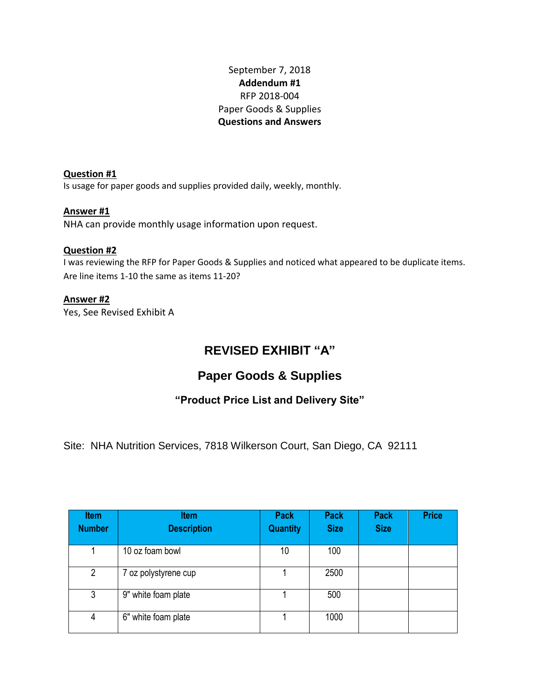September 7, 2018 **Addendum #1** RFP 2018-004 Paper Goods & Supplies **Questions and Answers**

**Question #1**  Is usage for paper goods and supplies provided daily, weekly, monthly.

### **Answer #1**

NHA can provide monthly usage information upon request.

### **Question #2**

I was reviewing the RFP for Paper Goods & Supplies and noticed what appeared to be duplicate items. Are line items 1-10 the same as items 11-20?

### **Answer #2**

Yes, See Revised Exhibit A

# **REVISED EXHIBIT "A"**

## **Paper Goods & Supplies**

### **"Product Price List and Delivery Site"**

Site: NHA Nutrition Services, 7818 Wilkerson Court, San Diego, CA 92111

| <b>Item</b><br><b>Number</b> | <b>Item</b><br><b>Description</b> | <b>Pack</b><br><b>Quantity</b> | <b>Pack</b><br><b>Size</b> | <b>Pack</b><br><b>Size</b> | <b>Price</b> |
|------------------------------|-----------------------------------|--------------------------------|----------------------------|----------------------------|--------------|
| 1                            | 10 oz foam bowl                   | 10                             | 100                        |                            |              |
| $\overline{2}$               | 7 oz polystyrene cup              |                                | 2500                       |                            |              |
| 3                            | 9" white foam plate               |                                | 500                        |                            |              |
| 4                            | 6" white foam plate               |                                | 1000                       |                            |              |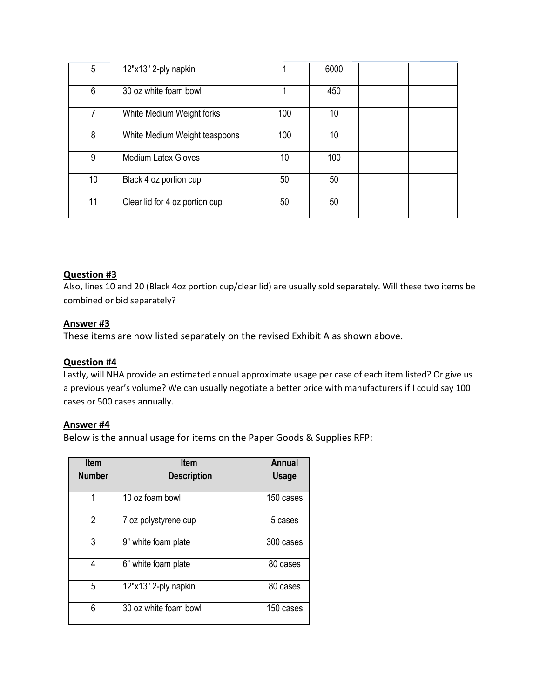| 5  | 12"x13" 2-ply napkin           |     | 6000 |  |
|----|--------------------------------|-----|------|--|
| 6  | 30 oz white foam bowl          |     | 450  |  |
| 7  | White Medium Weight forks      | 100 | 10   |  |
| 8  | White Medium Weight teaspoons  | 100 | 10   |  |
| 9  | <b>Medium Latex Gloves</b>     | 10  | 100  |  |
| 10 | Black 4 oz portion cup         | 50  | 50   |  |
| 11 | Clear lid for 4 oz portion cup | 50  | 50   |  |

### **Question #3**

Also, lines 10 and 20 (Black 4oz portion cup/clear lid) are usually sold separately. Will these two items be combined or bid separately?

### **Answer #3**

These items are now listed separately on the revised Exhibit A as shown above.

### **Question #4**

Lastly, will NHA provide an estimated annual approximate usage per case of each item listed? Or give us a previous year's volume? We can usually negotiate a better price with manufacturers if I could say 100 cases or 500 cases annually.

#### **Answer #4**

Below is the annual usage for items on the Paper Goods & Supplies RFP:

| <b>Item</b>   | <b>Item</b>           | Annual       |
|---------------|-----------------------|--------------|
| <b>Number</b> | <b>Description</b>    | <b>Usage</b> |
| 1             | 10 oz foam bowl       | 150 cases    |
| 2             | 7 oz polystyrene cup  | 5 cases      |
| 3             | 9" white foam plate   | 300 cases    |
| 4             | 6" white foam plate   | 80 cases     |
| 5             | 12"x13" 2-ply napkin  | 80 cases     |
| 6             | 30 oz white foam bowl | 150 cases    |